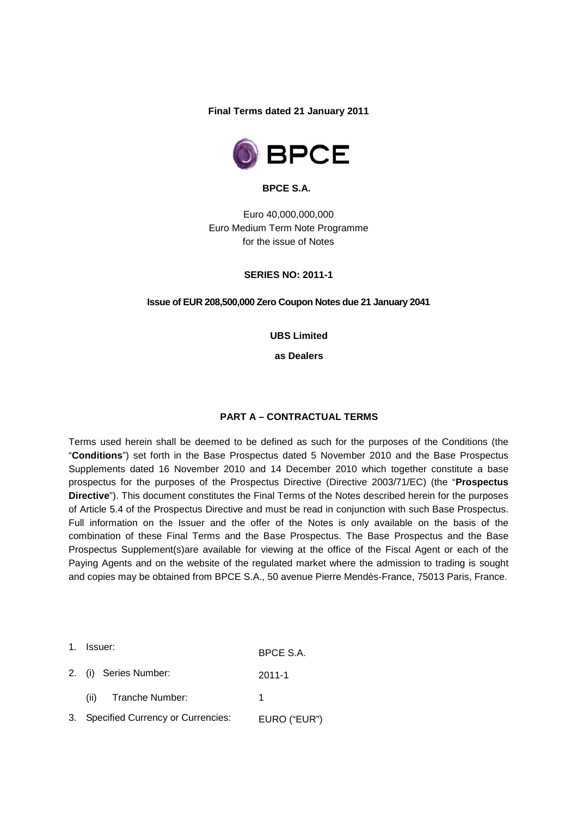**Final Terms dated 21 January 2011** 



**BPCE S.A.** 

Euro 40,000,000,000 Euro Medium Term Note Programme for the issue of Notes

**SERIES NO: 2011-1**

**Issue of EUR 208,500,000 Zero Coupon Notes due 21 January 2041** 

**UBS Limited** 

**as Dealers** 

#### **PART A – CONTRACTUAL TERMS**

Terms used herein shall be deemed to be defined as such for the purposes of the Conditions (the "**Conditions**") set forth in the Base Prospectus dated 5 November 2010 and the Base Prospectus Supplements dated 16 November 2010 and 14 December 2010 which together constitute a base prospectus for the purposes of the Prospectus Directive (Directive 2003/71/EC) (the "**Prospectus Directive**"). This document constitutes the Final Terms of the Notes described herein for the purposes of Article 5.4 of the Prospectus Directive and must be read in conjunction with such Base Prospectus. Full information on the Issuer and the offer of the Notes is only available on the basis of the combination of these Final Terms and the Base Prospectus. The Base Prospectus and the Base Prospectus Supplement(s)are available for viewing at the office of the Fiscal Agent or each of the Paying Agents and on the website of the regulated market where the admission to trading is sought and copies may be obtained from BPCE S.A., 50 avenue Pierre Mendès-France, 75013 Paris, France.

1. Issuer: BPCE S.A. 2. (i) Series Number: 2011-1 (ii) Tranche Number: 1 3. Specified Currency or Currencies: EURO ("EUR")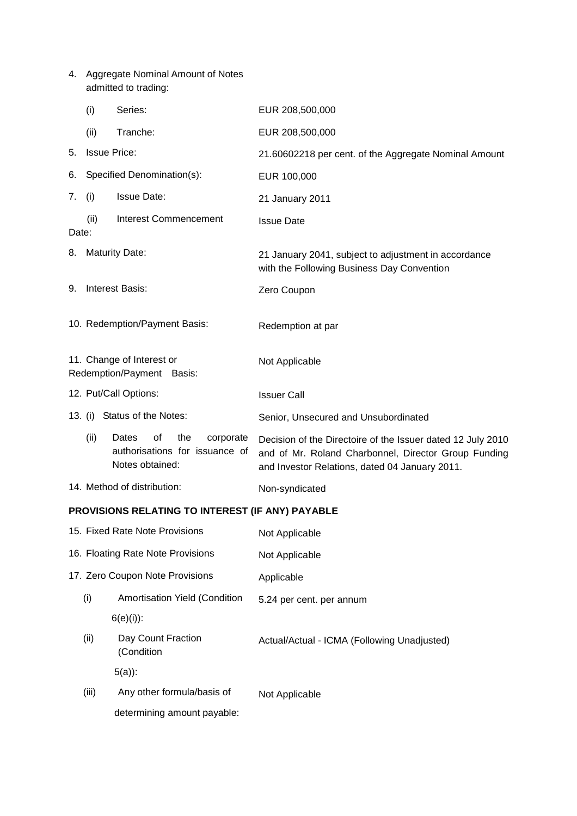4. Aggregate Nominal Amount of Notes admitted to trading:

|       | (i)                                                    | Series:                                                                              | EUR 208,500,000                                                                                                                                                       |  |  |
|-------|--------------------------------------------------------|--------------------------------------------------------------------------------------|-----------------------------------------------------------------------------------------------------------------------------------------------------------------------|--|--|
|       | (ii)                                                   | Tranche:                                                                             | EUR 208,500,000                                                                                                                                                       |  |  |
| 5.    | <b>Issue Price:</b>                                    |                                                                                      | 21.60602218 per cent. of the Aggregate Nominal Amount                                                                                                                 |  |  |
| 6.    | Specified Denomination(s):                             |                                                                                      | EUR 100,000                                                                                                                                                           |  |  |
| 7.    | (i)                                                    | <b>Issue Date:</b>                                                                   | 21 January 2011                                                                                                                                                       |  |  |
| Date: | (ii)                                                   | <b>Interest Commencement</b>                                                         | <b>Issue Date</b>                                                                                                                                                     |  |  |
| 8.    | <b>Maturity Date:</b>                                  |                                                                                      | 21 January 2041, subject to adjustment in accordance<br>with the Following Business Day Convention                                                                    |  |  |
| 9.    | <b>Interest Basis:</b>                                 |                                                                                      | Zero Coupon                                                                                                                                                           |  |  |
|       | 10. Redemption/Payment Basis:<br>Redemption at par     |                                                                                      |                                                                                                                                                                       |  |  |
|       | 11. Change of Interest or<br>Redemption/Payment Basis: |                                                                                      | Not Applicable                                                                                                                                                        |  |  |
|       | 12. Put/Call Options:                                  |                                                                                      | <b>Issuer Call</b>                                                                                                                                                    |  |  |
|       | 13. (i) Status of the Notes:                           |                                                                                      | Senior, Unsecured and Unsubordinated                                                                                                                                  |  |  |
|       | (ii)                                                   | Dates<br>0f<br>the<br>corporate<br>authorisations for issuance of<br>Notes obtained: | Decision of the Directoire of the Issuer dated 12 July 2010<br>and of Mr. Roland Charbonnel, Director Group Funding<br>and Investor Relations, dated 04 January 2011. |  |  |
|       | 14. Method of distribution:                            |                                                                                      | Non-syndicated                                                                                                                                                        |  |  |
|       |                                                        | PROVISIONS RELATING TO INTEREST (IF ANY) PAYABLE                                     |                                                                                                                                                                       |  |  |
|       |                                                        | 15. Fixed Rate Note Provisions                                                       | Not Applicable                                                                                                                                                        |  |  |
|       |                                                        | 16. Floating Rate Note Provisions                                                    | Not Applicable                                                                                                                                                        |  |  |
|       |                                                        | 17. Zero Coupon Note Provisions                                                      | Applicable                                                                                                                                                            |  |  |
|       | (i)                                                    | Amortisation Yield (Condition                                                        | 5.24 per cent. per annum                                                                                                                                              |  |  |
|       |                                                        | $6(e)(i)$ :                                                                          |                                                                                                                                                                       |  |  |
|       | (ii)                                                   | Day Count Fraction<br>(Condition                                                     | Actual/Actual - ICMA (Following Unadjusted)                                                                                                                           |  |  |
|       |                                                        | $5(a)$ :                                                                             |                                                                                                                                                                       |  |  |
|       | (iii)                                                  | Any other formula/basis of                                                           | Not Applicable                                                                                                                                                        |  |  |
|       |                                                        | determining amount payable:                                                          |                                                                                                                                                                       |  |  |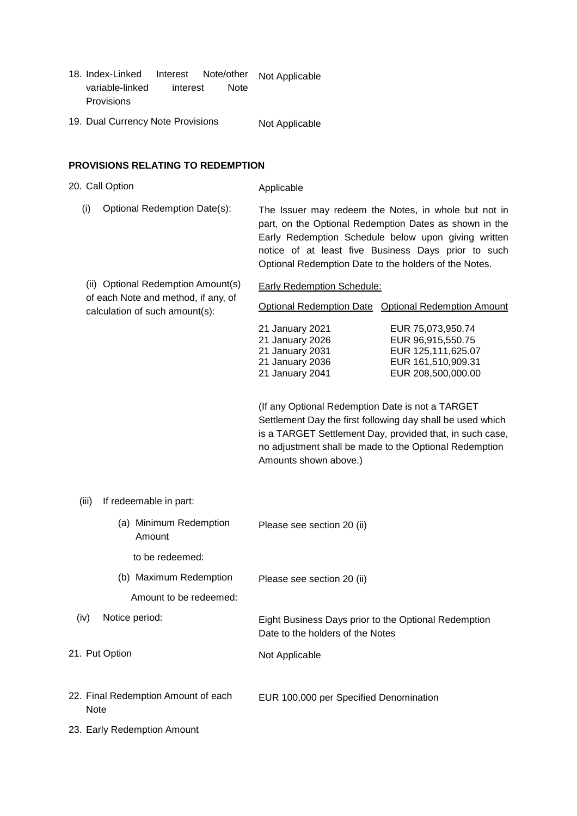- 18. Index-Linked Interest variable-linked interest Note Provisions Note/other Not Applicable
- 19. Dual Currency Note Provisions Not Applicable

# **PROVISIONS RELATING TO REDEMPTION**

| 20. Call Option                                                       | Applicable                                                                                                                                                                                                                                                                            |  |  |
|-----------------------------------------------------------------------|---------------------------------------------------------------------------------------------------------------------------------------------------------------------------------------------------------------------------------------------------------------------------------------|--|--|
| Optional Redemption Date(s):<br>(i)                                   | The Issuer may redeem the Notes, in whole but not in<br>part, on the Optional Redemption Dates as shown in the<br>Early Redemption Schedule below upon giving written<br>notice of at least five Business Days prior to such<br>Optional Redemption Date to the holders of the Notes. |  |  |
| (ii) Optional Redemption Amount(s)                                    | Early Redemption Schedule:                                                                                                                                                                                                                                                            |  |  |
| of each Note and method, if any, of<br>calculation of such amount(s): | Optional Redemption Date Optional Redemption Amount                                                                                                                                                                                                                                   |  |  |
|                                                                       | 21 January 2021<br>EUR 75,073,950.74<br>EUR 96,915,550.75<br>21 January 2026<br>21 January 2031<br>EUR 125,111,625.07<br>21 January 2036<br>EUR 161,510,909.31<br>21 January 2041<br>EUR 208,500,000.00                                                                               |  |  |
|                                                                       | (If any Optional Redemption Date is not a TARGET<br>Settlement Day the first following day shall be used which<br>is a TARGET Settlement Day, provided that, in such case,<br>no adjustment shall be made to the Optional Redemption<br>Amounts shown above.)                         |  |  |
| (iii)<br>If redeemable in part:                                       |                                                                                                                                                                                                                                                                                       |  |  |
| (a) Minimum Redemption<br>Amount                                      | Please see section 20 (ii)                                                                                                                                                                                                                                                            |  |  |
| to be redeemed:                                                       |                                                                                                                                                                                                                                                                                       |  |  |
| (b) Maximum Redemption                                                | Please see section 20 (ii)                                                                                                                                                                                                                                                            |  |  |
| Amount to be redeemed:                                                |                                                                                                                                                                                                                                                                                       |  |  |
| Notice period:<br>(iv)                                                | Eight Business Days prior to the Optional Redemption<br>Date to the holders of the Notes                                                                                                                                                                                              |  |  |
| 21. Put Option                                                        | Not Applicable                                                                                                                                                                                                                                                                        |  |  |
| 22. Final Redemption Amount of each<br><b>Note</b>                    | EUR 100,000 per Specified Denomination                                                                                                                                                                                                                                                |  |  |
| 23. Early Redemption Amount                                           |                                                                                                                                                                                                                                                                                       |  |  |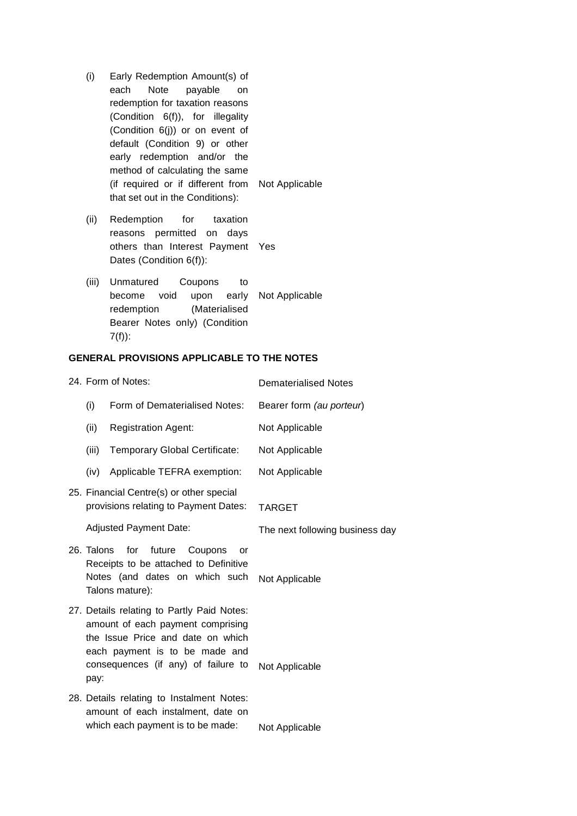- (i) Early Redemption Amount(s) of each Note payable on redemption for taxation reasons (Condition 6(f)), for illegality (Condition 6(j)) or on event of default (Condition 9) or other early redemption and/or the method of calculating the same (if required or if different from Not Applicable that set out in the Conditions):
- (ii) Redemption for taxation reasons permitted on days others than Interest Payment Yes Dates (Condition 6(f)):
- (iii) Unmatured Coupons to become void upon redemption (Materialised Bearer Notes only) (Condition 7(f)): early Not Applicable

## **GENERAL PROVISIONS APPLICABLE TO THE NOTES**

| 24. Form of Notes: |            |                                                                                                                                                                                               | <b>Dematerialised Notes</b>     |  |
|--------------------|------------|-----------------------------------------------------------------------------------------------------------------------------------------------------------------------------------------------|---------------------------------|--|
|                    | (i)        | Form of Dematerialised Notes:                                                                                                                                                                 | Bearer form (au porteur)        |  |
|                    | (ii)       | <b>Registration Agent:</b>                                                                                                                                                                    | Not Applicable                  |  |
|                    | (iii)      | Temporary Global Certificate:                                                                                                                                                                 | Not Applicable                  |  |
|                    | (iv)       | Applicable TEFRA exemption:                                                                                                                                                                   | Not Applicable                  |  |
|                    |            | 25. Financial Centre(s) or other special<br>provisions relating to Payment Dates:                                                                                                             | <b>TARGET</b>                   |  |
|                    |            | <b>Adjusted Payment Date:</b>                                                                                                                                                                 | The next following business day |  |
|                    | 26. Talons | for<br>future<br>Coupons<br>or<br>Receipts to be attached to Definitive<br>Notes (and dates on which such<br>Talons mature):                                                                  | Not Applicable                  |  |
|                    | pay:       | 27. Details relating to Partly Paid Notes:<br>amount of each payment comprising<br>the Issue Price and date on which<br>each payment is to be made and<br>consequences (if any) of failure to | Not Applicable                  |  |
|                    |            | 28. Details relating to Instalment Notes:<br>amount of each instalment, date on<br>which each payment is to be made:                                                                          | Not Applicable                  |  |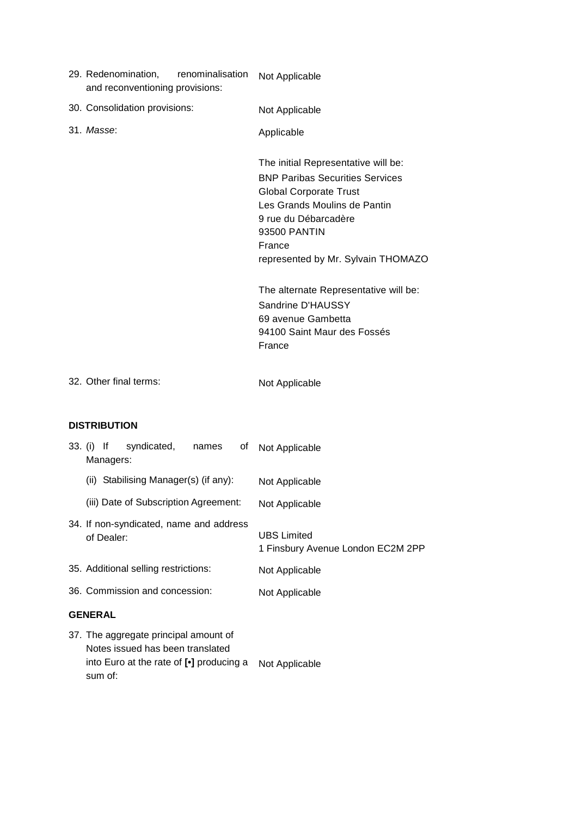| 29. Redenomination,<br>renominalisation<br>and reconventioning provisions:                                                       | Not Applicable                                                                                                                                                                                                                         |  |  |
|----------------------------------------------------------------------------------------------------------------------------------|----------------------------------------------------------------------------------------------------------------------------------------------------------------------------------------------------------------------------------------|--|--|
| 30. Consolidation provisions:                                                                                                    | Not Applicable                                                                                                                                                                                                                         |  |  |
| 31. Masse:                                                                                                                       | Applicable                                                                                                                                                                                                                             |  |  |
|                                                                                                                                  | The initial Representative will be:<br><b>BNP Paribas Securities Services</b><br><b>Global Corporate Trust</b><br>Les Grands Moulins de Pantin<br>9 rue du Débarcadère<br>93500 PANTIN<br>France<br>represented by Mr. Sylvain THOMAZO |  |  |
|                                                                                                                                  | The alternate Representative will be:<br>Sandrine D'HAUSSY<br>69 avenue Gambetta<br>94100 Saint Maur des Fossés<br>France                                                                                                              |  |  |
| 32. Other final terms:                                                                                                           | Not Applicable                                                                                                                                                                                                                         |  |  |
| <b>DISTRIBUTION</b>                                                                                                              |                                                                                                                                                                                                                                        |  |  |
| 33. (i) If<br>syndicated,<br>names<br>0f<br>Managers:                                                                            | Not Applicable                                                                                                                                                                                                                         |  |  |
| (ii) Stabilising Manager(s) (if any):                                                                                            | Not Applicable                                                                                                                                                                                                                         |  |  |
| (iii) Date of Subscription Agreement:                                                                                            | Not Applicable                                                                                                                                                                                                                         |  |  |
| 34. If non-syndicated, name and address<br>of Dealer:                                                                            | <b>UBS Limited</b><br>1 Finsbury Avenue London EC2M 2PP                                                                                                                                                                                |  |  |
| 35. Additional selling restrictions:                                                                                             | Not Applicable                                                                                                                                                                                                                         |  |  |
| 36. Commission and concession:                                                                                                   | Not Applicable                                                                                                                                                                                                                         |  |  |
| <b>GENERAL</b>                                                                                                                   |                                                                                                                                                                                                                                        |  |  |
| 37. The aggregate principal amount of<br>Notes issued has been translated<br>into Euro at the rate of [.] producing a<br>sum of: | Not Applicable                                                                                                                                                                                                                         |  |  |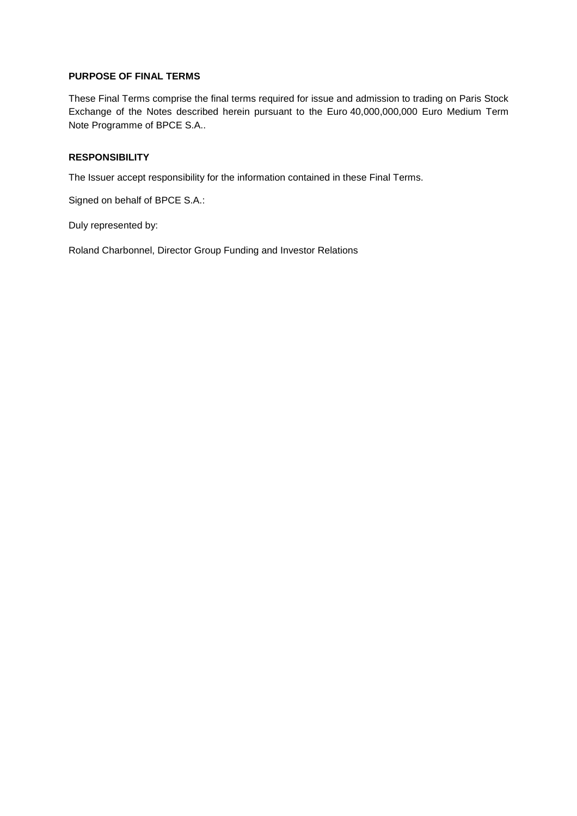## **PURPOSE OF FINAL TERMS**

These Final Terms comprise the final terms required for issue and admission to trading on Paris Stock Exchange of the Notes described herein pursuant to the Euro 40,000,000,000 Euro Medium Term Note Programme of BPCE S.A..

### **RESPONSIBILITY**

The Issuer accept responsibility for the information contained in these Final Terms.

Signed on behalf of BPCE S.A.:

Duly represented by:

Roland Charbonnel, Director Group Funding and Investor Relations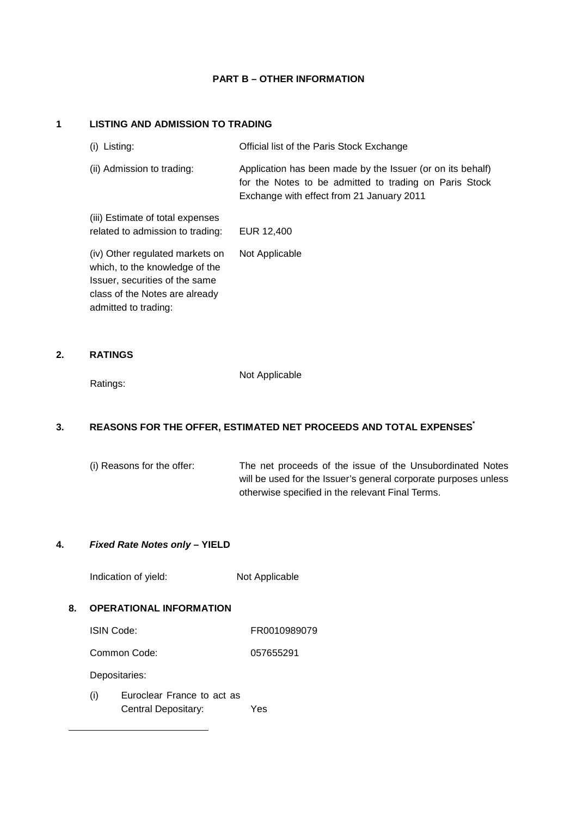#### **PART B – OTHER INFORMATION**

## **1 LISTING AND ADMISSION TO TRADING**

| Listing:<br>(i)                                                                                                                                               | Official list of the Paris Stock Exchange                                                                                                                         |
|---------------------------------------------------------------------------------------------------------------------------------------------------------------|-------------------------------------------------------------------------------------------------------------------------------------------------------------------|
| (ii) Admission to trading:                                                                                                                                    | Application has been made by the Issuer (or on its behalf)<br>for the Notes to be admitted to trading on Paris Stock<br>Exchange with effect from 21 January 2011 |
| (iii) Estimate of total expenses<br>related to admission to trading:                                                                                          | EUR 12,400                                                                                                                                                        |
| (iv) Other regulated markets on<br>which, to the knowledge of the<br>Issuer, securities of the same<br>class of the Notes are already<br>admitted to trading: | Not Applicable                                                                                                                                                    |

### **2. RATINGS**

Ratings:

Not Applicable

## **3. REASONS FOR THE OFFER, ESTIMATED NET PROCEEDS AND TOTAL EXPENSES\***

(i) Reasons for the offer: The net proceeds of the issue of the Unsubordinated Notes will be used for the Issuer's general corporate purposes unless otherwise specified in the relevant Final Terms.

### **4. Fixed Rate Notes only – YIELD**

Indication of yield: Not Applicable

### **8. OPERATIONAL INFORMATION**

ISIN Code: FR0010989079

Common Code: 057655291

Depositaries:

l

(i) Euroclear France to act as Central Depositary: Yes